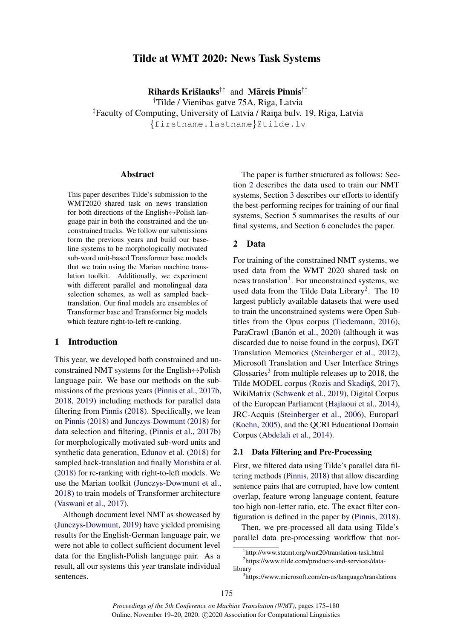# Tilde at WMT 2020: News Task Systems

Rihards Krišlauks<sup>†‡</sup> and Mārcis Pinnis<sup>†‡</sup>

†Tilde / Vienibas gatve 75A, Riga, Latvia <sup>‡</sup>Faculty of Computing, University of Latvia / Raina bulv. 19, Riga, Latvia {firstname.lastname}@tilde.lv

### Abstract

This paper describes Tilde's submission to the WMT2020 shared task on news translation for both directions of the English $\leftrightarrow$ Polish language pair in both the constrained and the unconstrained tracks. We follow our submissions form the previous years and build our baseline systems to be morphologically motivated sub-word unit-based Transformer base models that we train using the Marian machine translation toolkit. Additionally, we experiment with different parallel and monolingual data selection schemes, as well as sampled backtranslation. Our final models are ensembles of Transformer base and Transformer big models which feature right-to-left re-ranking.

### 1 Introduction

This year, we developed both constrained and unconstrained NMT systems for the English $\leftrightarrow$ Polish language pair. We base our methods on the submissions of the previous years [\(Pinnis et al.,](#page-5-0) [2017b,](#page-5-0) [2018,](#page-5-1) [2019\)](#page-5-2) including methods for parallel data filtering from [Pinnis](#page-5-3) [\(2018\)](#page-5-3). Specifically, we lean on [Pinnis](#page-5-3) [\(2018\)](#page-5-3) and [Junczys-Dowmunt](#page-4-0) [\(2018\)](#page-4-0) for data selection and filtering, [\(Pinnis et al.,](#page-5-0) [2017b\)](#page-5-0) for morphologically motivated sub-word units and synthetic data generation, [Edunov et al.](#page-4-1) [\(2018\)](#page-4-1) for sampled back-translation and finally [Morishita et al.](#page-5-4) [\(2018\)](#page-5-4) for re-ranking with right-to-left models. We use the Marian toolkit [\(Junczys-Dowmunt et al.,](#page-5-5) [2018\)](#page-5-5) to train models of Transformer architecture [\(Vaswani et al.,](#page-5-6) [2017\)](#page-5-6).

Although document level NMT as showcased by [\(Junczys-Dowmunt,](#page-4-2) [2019\)](#page-4-2) have yielded promising results for the English-German language pair, we were not able to collect sufficient document level data for the English-Polish language pair. As a result, all our systems this year translate individual sentences.

The paper is further structured as follows: Section [2](#page-0-0) describes the data used to train our NMT systems, Section [3](#page-1-0) describes our efforts to identify the best-performing recipes for training of our final systems, Section [5](#page-4-3) summarises the results of our final systems, and Section [6](#page-4-4) concludes the paper.

## <span id="page-0-0"></span>2 Data

For training of the constrained NMT systems, we used data from the WMT 2020 shared task on news translation<sup>[1](#page-0-1)</sup>. For unconstrained systems, we used data from the Tilde Data Library<sup>[2](#page-0-2)</sup>. The 10 largest publicly available datasets that were used to train the unconstrained systems were Open Subtitles from the Opus corpus [\(Tiedemann,](#page-5-7) [2016\)](#page-5-7), ParaCrawl (Banón et al., [2020\)](#page-4-5) (although it was discarded due to noise found in the corpus), DGT Translation Memories [\(Steinberger et al.,](#page-5-8) [2012\)](#page-5-8), Microsoft Translation and User Interface Strings Glossaries<sup>[3](#page-0-3)</sup> from multiple releases up to 2018, the Tilde MODEL corpus (Rozis and Skadinš, [2017\)](#page-5-9), WikiMatrix [\(Schwenk et al.,](#page-5-10) [2019\)](#page-5-10), Digital Corpus of the European Parliament [\(Hajlaoui et al.,](#page-4-6) [2014\)](#page-4-6), JRC-Acquis [\(Steinberger et al.,](#page-5-11) [2006\)](#page-5-11), Europarl [\(Koehn,](#page-5-12) [2005\)](#page-5-12), and the QCRI Educational Domain Corpus [\(Abdelali et al.,](#page-4-7) [2014\)](#page-4-7).

## 2.1 Data Filtering and Pre-Processing

First, we filtered data using Tilde's parallel data filtering methods [\(Pinnis,](#page-5-3) [2018\)](#page-5-3) that allow discarding sentence pairs that are corrupted, have low content overlap, feature wrong language content, feature too high non-letter ratio, etc. The exact filter configuration is defined in the paper by [\(Pinnis,](#page-5-3) [2018\)](#page-5-3).

Then, we pre-processed all data using Tilde's parallel data pre-processing workflow that nor-

<span id="page-0-2"></span><span id="page-0-1"></span><sup>1</sup> http://www.statmt.org/wmt20/translation-task.html 2 https://www.tilde.com/products-and-services/datalibrary

<span id="page-0-3"></span><sup>3</sup> https://www.microsoft.com/en-us/language/translations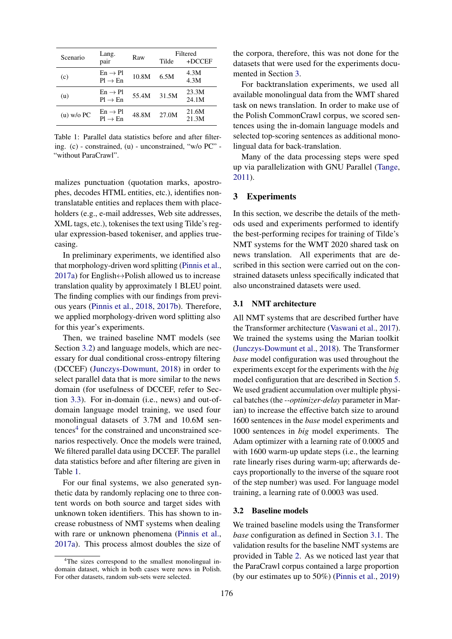<span id="page-1-3"></span>

| Scenario     | Lang.                                      | Raw   | Filtered |                |
|--------------|--------------------------------------------|-------|----------|----------------|
|              | pair                                       |       | Tilde    | $+DCCEF$       |
| (c)          | $En \rightarrow Pl$<br>$Pl \rightarrow En$ | 10.8M | 6.5M     | 4.3M<br>4.3M   |
| (u)          | $En \rightarrow Pl$<br>$Pl \rightarrow En$ | 55.4M | 31.5M    | 23.3M<br>24.1M |
| $(u)$ w/o PC | $En \rightarrow Pl$<br>$Pl \rightarrow En$ | 48.8M | 27.0M    | 21.6M<br>21.3M |

Table 1: Parallel data statistics before and after filtering. (c) - constrained, (u) - unconstrained, "w/o PC" - "without ParaCrawl".

malizes punctuation (quotation marks, apostrophes, decodes HTML entities, etc.), identifies nontranslatable entities and replaces them with placeholders (e.g., e-mail addresses, Web site addresses, XML tags, etc.), tokenises the text using Tilde's regular expression-based tokeniser, and applies truecasing.

In preliminary experiments, we identified also that morphology-driven word splitting [\(Pinnis et al.,](#page-5-13) [2017a\)](#page-5-13) for English $\leftrightarrow$ Polish allowed us to increase translation quality by approximately 1 BLEU point. The finding complies with our findings from previous years [\(Pinnis et al.,](#page-5-1) [2018,](#page-5-1) [2017b\)](#page-5-0). Therefore, we applied morphology-driven word splitting also for this year's experiments.

Then, we trained baseline NMT models (see Section [3.2\)](#page-1-1) and language models, which are necessary for dual conditional cross-entropy filtering (DCCEF) [\(Junczys-Dowmunt,](#page-4-0) [2018\)](#page-4-0) in order to select parallel data that is more similar to the news domain (for usefulness of DCCEF, refer to Section [3.3\)](#page-2-0). For in-domain (i.e., news) and out-ofdomain language model training, we used four monolingual datasets of 3.7M and 10.6M sen-tences<sup>[4](#page-1-2)</sup> for the constrained and unconstrained scenarios respectively. Once the models were trained, We filtered parallel data using DCCEF. The parallel data statistics before and after filtering are given in Table [1.](#page-1-3)

For our final systems, we also generated synthetic data by randomly replacing one to three content words on both source and target sides with unknown token identifiers. This has shown to increase robustness of NMT systems when dealing with rare or unknown phenomena [\(Pinnis et al.,](#page-5-13) [2017a\)](#page-5-13). This process almost doubles the size of the corpora, therefore, this was not done for the datasets that were used for the experiments documented in Section [3.](#page-1-0)

For backtranslation experiments, we used all available monolingual data from the WMT shared task on news translation. In order to make use of the Polish CommonCrawl corpus, we scored sentences using the in-domain language models and selected top-scoring sentences as additional monolingual data for back-translation.

Many of the data processing steps were sped up via parallelization with GNU Parallel [\(Tange,](#page-5-14) [2011\)](#page-5-14).

## <span id="page-1-0"></span>3 Experiments

In this section, we describe the details of the methods used and experiments performed to identify the best-performing recipes for training of Tilde's NMT systems for the WMT 2020 shared task on news translation. All experiments that are described in this section were carried out on the constrained datasets unless specifically indicated that also unconstrained datasets were used.

## <span id="page-1-4"></span>3.1 NMT architecture

All NMT systems that are described further have the Transformer architecture [\(Vaswani et al.,](#page-5-6) [2017\)](#page-5-6). We trained the systems using the Marian toolkit [\(Junczys-Dowmunt et al.,](#page-5-5) [2018\)](#page-5-5). The Transformer *base* model configuration was used throughout the experiments except for the experiments with the *big* model configuration that are described in Section [5.](#page-4-3) We used gradient accumulation over multiple physical batches (the *--optimizer-delay* parameter in Marian) to increase the effective batch size to around 1600 sentences in the *base* model experiments and 1000 sentences in *big* model experiments. The Adam optimizer with a learning rate of 0.0005 and with 1600 warm-up update steps (i.e., the learning rate linearly rises during warm-up; afterwards decays proportionally to the inverse of the square root of the step number) was used. For language model training, a learning rate of 0.0003 was used.

## <span id="page-1-1"></span>3.2 Baseline models

We trained baseline models using the Transformer *base* configuration as defined in Section [3.1.](#page-1-4) The validation results for the baseline NMT systems are provided in Table [2.](#page-2-1) As we noticed last year that the ParaCrawl corpus contained a large proportion (by our estimates up to 50%) [\(Pinnis et al.,](#page-5-2) [2019\)](#page-5-2)

<span id="page-1-2"></span><sup>&</sup>lt;sup>4</sup>The sizes correspond to the smallest monolingual indomain dataset, which in both cases were news in Polish. For other datasets, random sub-sets were selected.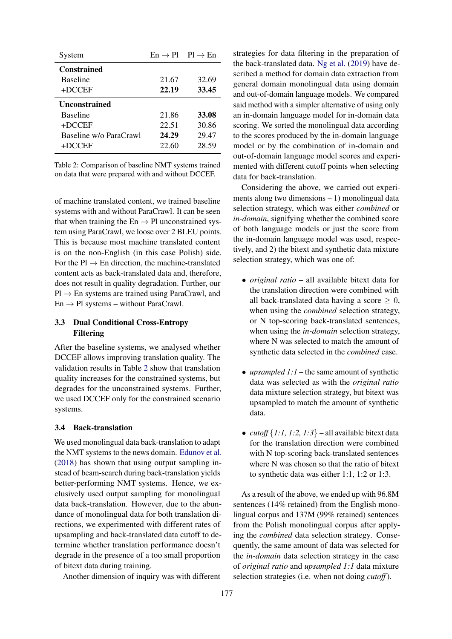<span id="page-2-1"></span>

| System                 |       | $En \rightarrow Pl$ $Pl \rightarrow En$ |
|------------------------|-------|-----------------------------------------|
| <b>Constrained</b>     |       |                                         |
| <b>Baseline</b>        | 21.67 | 32.69                                   |
| $+DCCEF$               | 22.19 | 33.45                                   |
| <b>Unconstrained</b>   |       |                                         |
| <b>Baseline</b>        | 21.86 | 33.08                                   |
| $+DCCEF$               | 22.51 | 30.86                                   |
| Baseline w/o ParaCrawl | 24.29 | 29.47                                   |
| $+DCCEF$               | 22.60 | 28.59                                   |

Table 2: Comparison of baseline NMT systems trained on data that were prepared with and without DCCEF.

of machine translated content, we trained baseline systems with and without ParaCrawl. It can be seen that when training the  $En \rightarrow Pl$  unconstrained system using ParaCrawl, we loose over 2 BLEU points. This is because most machine translated content is on the non-English (in this case Polish) side. For the  $Pl \rightarrow En$  direction, the machine-translated content acts as back-translated data and, therefore, does not result in quality degradation. Further, our  $Pl \rightarrow En$  systems are trained using ParaCrawl, and  $En \rightarrow Pl$  systems – without ParaCrawl.

## <span id="page-2-0"></span>3.3 Dual Conditional Cross-Entropy Filtering

After the baseline systems, we analysed whether DCCEF allows improving translation quality. The validation results in Table [2](#page-2-1) show that translation quality increases for the constrained systems, but degrades for the unconstrained systems. Further, we used DCCEF only for the constrained scenario systems.

## <span id="page-2-2"></span>3.4 Back-translation

We used monolingual data back-translation to adapt the NMT systems to the news domain. [Edunov et al.](#page-4-1) [\(2018\)](#page-4-1) has shown that using output sampling instead of beam-search during back-translation yields better-performing NMT systems. Hence, we exclusively used output sampling for monolingual data back-translation. However, due to the abundance of monolingual data for both translation directions, we experimented with different rates of upsampling and back-translated data cutoff to determine whether translation performance doesn't degrade in the presence of a too small proportion of bitext data during training.

Another dimension of inquiry was with different

strategies for data filtering in the preparation of the back-translated data. [Ng et al.](#page-5-15) [\(2019\)](#page-5-15) have described a method for domain data extraction from general domain monolingual data using domain and out-of-domain language models. We compared said method with a simpler alternative of using only an in-domain language model for in-domain data scoring. We sorted the monolingual data according to the scores produced by the in-domain language model or by the combination of in-domain and out-of-domain language model scores and experimented with different cutoff points when selecting data for back-translation.

Considering the above, we carried out experiments along two dimensions – 1) monolingual data selection strategy, which was either *combined* or *in-domain*, signifying whether the combined score of both language models or just the score from the in-domain language model was used, respectively, and 2) the bitext and synthetic data mixture selection strategy, which was one of:

- *original ratio* all available bitext data for the translation direction were combined with all back-translated data having a score  $\geq 0$ , when using the *combined* selection strategy, or N top-scoring back-translated sentences, when using the *in-domain* selection strategy, where N was selected to match the amount of synthetic data selected in the *combined* case.
- *upsampled 1:1* the same amount of synthetic data was selected as with the *original ratio* data mixture selection strategy, but bitext was upsampled to match the amount of synthetic data.
- *cutoff*  $\{1:1, 1:2, 1:3\}$  all available bitext data for the translation direction were combined with N top-scoring back-translated sentences where N was chosen so that the ratio of bitext to synthetic data was either 1:1, 1:2 or 1:3.

As a result of the above, we ended up with 96.8M sentences (14% retained) from the English monolingual corpus and 137M (99% retained) sentences from the Polish monolingual corpus after applying the *combined* data selection strategy. Consequently, the same amount of data was selected for the *in-domain* data selection strategy in the case of *original ratio* and *upsampled 1:1* data mixture selection strategies (i.e. when not doing *cutoff*).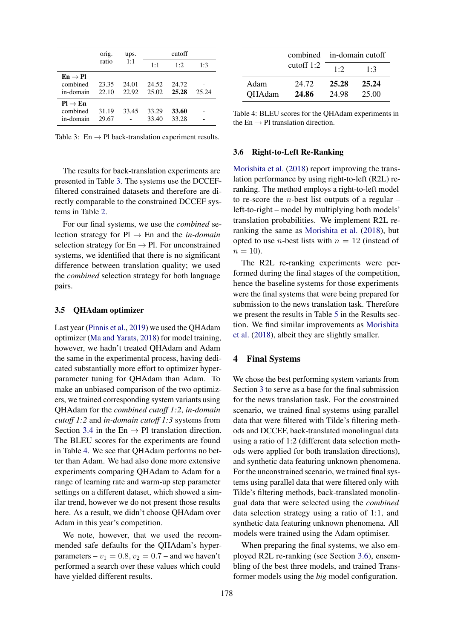<span id="page-3-0"></span>

|                                                        | orig.          | ups.           | cutoff         |                |       |
|--------------------------------------------------------|----------------|----------------|----------------|----------------|-------|
|                                                        | ratio          | 1:1            | $1 \cdot 1$    | 1.2            | 1.3   |
| $\mathrm{En} \to \mathrm{Pl}$<br>combined<br>in-domain | 23.35<br>22.10 | 24.01<br>22.92 | 24.52<br>25.02 | 24.72<br>25.28 | 25.24 |
| $Pl \rightarrow En$<br>combined                        | 31.19          | 33.45          | 33.29          | 33.60          |       |
| in-domain                                              | 29.67          |                | 33.40          | 33.28          |       |

Table 3: En  $\rightarrow$  Pl back-translation experiment results.

The results for back-translation experiments are presented in Table [3.](#page-3-0) The systems use the DCCEFfiltered constrained datasets and therefore are directly comparable to the constrained DCCEF systems in Table [2.](#page-2-1)

For our final systems, we use the *combined* selection strategy for Pl → En and the *in-domain* selection strategy for  $En \rightarrow Pl$ . For unconstrained systems, we identified that there is no significant difference between translation quality; we used the *combined* selection strategy for both language pairs.

### 3.5 QHAdam optimizer

Last year [\(Pinnis et al.,](#page-5-2) [2019\)](#page-5-2) we used the QHAdam optimizer [\(Ma and Yarats,](#page-5-16) [2018\)](#page-5-16) for model training, however, we hadn't treated QHAdam and Adam the same in the experimental process, having dedicated substantially more effort to optimizer hyperparameter tuning for QHAdam than Adam. To make an unbiased comparison of the two optimizers, we trained corresponding system variants using QHAdam for the *combined cutoff 1:2*, *in-domain cutoff 1:2* and *in-domain cutoff 1:3* systems from Section [3.4](#page-2-2) in the En  $\rightarrow$  Pl translation direction. The BLEU scores for the experiments are found in Table [4.](#page-3-1) We see that QHAdam performs no better than Adam. We had also done more extensive experiments comparing QHAdam to Adam for a range of learning rate and warm-up step parameter settings on a different dataset, which showed a similar trend, however we do not present those results here. As a result, we didn't choose QHAdam over Adam in this year's competition.

We note, however, that we used the recommended safe defaults for the QHAdam's hyperparameters –  $v_1 = 0.8$ ,  $v_2 = 0.7$  – and we haven't performed a search over these values which could have yielded different results.

<span id="page-3-1"></span>

|               |              | combined in-domain cutoff |       |  |
|---------------|--------------|---------------------------|-------|--|
|               | cutoff $1:2$ | 1·2                       | 1.3   |  |
| Adam          | 24.72        | 25.28                     | 25.24 |  |
| <b>QHAdam</b> | 24.86        | 24.98                     | 25.00 |  |

Table 4: BLEU scores for the QHAdam experiments in the En  $\rightarrow$  Pl translation direction.

#### <span id="page-3-2"></span>3.6 Right-to-Left Re-Ranking

[Morishita et al.](#page-5-4) [\(2018\)](#page-5-4) report improving the translation performance by using right-to-left (R2L) reranking. The method employs a right-to-left model to re-score the *n*-best list outputs of a regular  $$ left-to-right – model by multiplying both models' translation probabilities. We implement R2L reranking the same as [Morishita et al.](#page-5-4) [\(2018\)](#page-5-4), but opted to use *n*-best lists with  $n = 12$  (instead of  $n = 10$ ).

The R2L re-ranking experiments were performed during the final stages of the competition, hence the baseline systems for those experiments were the final systems that were being prepared for submission to the news translation task. Therefore we present the results in Table [5](#page-4-8) in the Results section. We find similar improvements as [Morishita](#page-5-4) [et al.](#page-5-4) [\(2018\)](#page-5-4), albeit they are slightly smaller.

#### 4 Final Systems

We chose the best performing system variants from Section [3](#page-1-0) to serve as a base for the final submission for the news translation task. For the constrained scenario, we trained final systems using parallel data that were filtered with Tilde's filtering methods and DCCEF, back-translated monolingual data using a ratio of 1:2 (different data selection methods were applied for both translation directions), and synthetic data featuring unknown phenomena. For the unconstrained scenario, we trained final systems using parallel data that were filtered only with Tilde's filtering methods, back-translated monolingual data that were selected using the *combined* data selection strategy using a ratio of 1:1, and synthetic data featuring unknown phenomena. All models were trained using the Adam optimiser.

When preparing the final systems, we also employed R2L re-ranking (see Section [3.6\)](#page-3-2), ensembling of the best three models, and trained Transformer models using the *big* model configuration.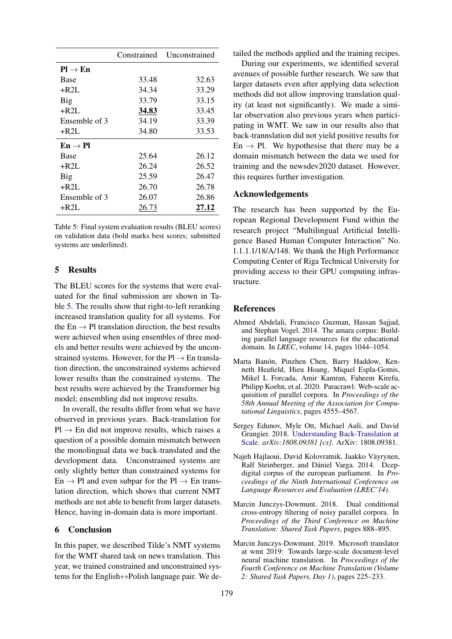<span id="page-4-8"></span>

|                     | Constrained | Unconstrained |
|---------------------|-------------|---------------|
| $Pl \rightarrow En$ |             |               |
| <b>Base</b>         | 33.48       | 32.63         |
| $+$ R2L             | 34.34       | 33.29         |
| Big                 | 33.79       | 33.15         |
| $+$ R2L             | 34.83       | 33.45         |
| Ensemble of 3       | 34.19       | 33.39         |
| $+$ R2L             | 34.80       | 33.53         |
| $En \rightarrow Pl$ |             |               |
| Base                | 25.64       | 26.12         |
| $+$ R2I.            | 26.24       | 26.52         |
| Big                 | 25.59       | 26.47         |
| $+$ R2L             | 26.70       | 26.78         |
| Ensemble of 3       | 26.07       | 26.86         |
| $+$ R2L             | 26.73       | 27.12         |

Table 5: Final system evaluation results (BLEU scores) on validation data (bold marks best scores; submitted systems are underlined).

# <span id="page-4-3"></span>5 Results

The BLEU scores for the systems that were evaluated for the final submission are shown in Table [5.](#page-4-8) The results show that right-to-left reranking increased translation quality for all systems. For the  $En \rightarrow Pl$  translation direction, the best results were achieved when using ensembles of three models and better results were achieved by the unconstrained systems. However, for the  $Pl \rightarrow En$  translation direction, the unconstrained systems achieved lower results than the constrained systems. The best results were achieved by the Transformer big model; ensembling did not improve results.

In overall, the results differ from what we have observed in previous years. Back-translation for  $Pl \rightarrow En$  did not improve results, which raises a question of a possible domain mismatch between the monolingual data we back-translated and the development data. Unconstrained systems are only slightly better than constrained systems for  $En \rightarrow Pl$  and even subpar for the  $Pl \rightarrow En$  translation direction, which shows that current NMT methods are not able to benefit from larger datasets. Hence, having in-domain data is more important.

## <span id="page-4-4"></span>6 Conclusion

In this paper, we described Tilde's NMT systems for the WMT shared task on news translation. This year, we trained constrained and unconstrained systems for the English↔Polish language pair. We detailed the methods applied and the training recipes.

During our experiments, we identified several avenues of possible further research. We saw that larger datasets even after applying data selection methods did not allow improving translation quality (at least not significantly). We made a similar observation also previous years when participating in WMT. We saw in our results also that back-trannslation did not yield positive results for En  $\rightarrow$  Pl. We hypothesise that there may be a domain mismatch between the data we used for training and the newsdev2020 dataset. However, this requires further investigation.

## Acknowledgements

The research has been supported by the European Regional Development Fund within the research project "Multilingual Artificial Intelligence Based Human Computer Interaction" No. 1.1.1.1/18/A/148. We thank the High Performance Computing Center of Riga Technical University for providing access to their GPU computing infrastructure.

## **References**

- <span id="page-4-7"></span>Ahmed Abdelali, Francisco Guzman, Hassan Sajjad, and Stephan Vogel. 2014. The amara corpus: Building parallel language resources for the educational domain. In *LREC*, volume 14, pages 1044–1054.
- <span id="page-4-5"></span>Marta Banón, Pinzhen Chen, Barry Haddow, Kenneth Heafield, Hieu Hoang, Miquel Espla-Gomis, Mikel L Forcada, Amir Kamran, Faheem Kirefu, Philipp Koehn, et al. 2020. Paracrawl: Web-scale acquisition of parallel corpora. In *Proceedings of the 58th Annual Meeting of the Association for Computational Linguistics*, pages 4555–4567.
- <span id="page-4-1"></span>Sergey Edunov, Myle Ott, Michael Auli, and David Grangier. 2018. [Understanding Back-Translation at](http://arxiv.org/abs/1808.09381) [Scale.](http://arxiv.org/abs/1808.09381) *arXiv:1808.09381 [cs]*. ArXiv: 1808.09381.
- <span id="page-4-6"></span>Najeh Hajlaoui, David Kolovratnik, Jaakko Väyrynen, Ralf Steinberger, and Dániel Varga. 2014. Dcepdigital corpus of the european parliament. In *Proceedings of the Ninth International Conference on Language Resources and Evaluation (LREC'14)*.
- <span id="page-4-0"></span>Marcin Junczys-Dowmunt. 2018. Dual conditional cross-entropy filtering of noisy parallel corpora. In *Proceedings of the Third Conference on Machine Translation: Shared Task Papers*, pages 888–895.
- <span id="page-4-2"></span>Marcin Junczys-Dowmunt. 2019. Microsoft translator at wmt 2019: Towards large-scale document-level neural machine translation. In *Proceedings of the Fourth Conference on Machine Translation (Volume 2: Shared Task Papers, Day 1)*, pages 225–233.